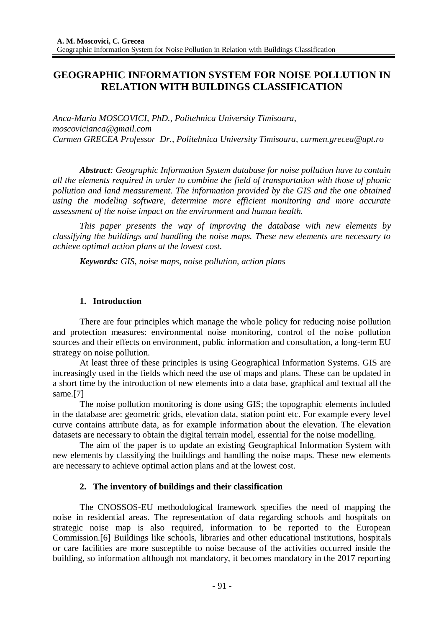# **GEOGRAPHIC INFORMATION SYSTEM FOR NOISE POLLUTION IN RELATION WITH BUILDINGS CLASSIFICATION**

*Anca-Maria MOSCOVICI, PhD., Politehnica University Timisoara, moscovicianca@gmail.com Carmen GRECEA Professor Dr., Politehnica University Timisoara, carmen.grecea@upt.ro*

*Abstract: Geographic Information System database for noise pollution have to contain all the elements required in order to combine the field of transportation with those of phonic pollution and land measurement. The information provided by the GIS and the one obtained using the modeling software, determine more efficient monitoring and more accurate assessment of the noise impact on the environment and human health.*

*This paper presents the way of improving the database with new elements by classifying the buildings and handling the noise maps. These new elements are necessary to achieve optimal action plans at the lowest cost.*

*Keywords: GIS, noise maps, noise pollution, action plans*

# **1. Introduction**

There are four principles which manage the whole policy for reducing noise pollution and protection measures: environmental noise monitoring, control of the noise pollution sources and their effects on environment, public information and consultation, a long-term EU strategy on noise pollution.

At least three of these principles is using Geographical Information Systems. GIS are increasingly used in the fields which need the use of maps and plans. These can be updated in a short time by the introduction of new elements into a data base, graphical and textual all the same.[7]

The noise pollution monitoring is done using GIS; the topographic elements included in the database are: geometric grids, elevation data, station point etc. For example every level curve contains attribute data, as for example information about the elevation. The elevation datasets are necessary to obtain the digital terrain model, essential for the noise modelling.

The aim of the paper is to update an existing Geographical Information System with new elements by classifying the buildings and handling the noise maps. These new elements are necessary to achieve optimal action plans and at the lowest cost.

## **2. The inventory of buildings and their classification**

The CNOSSOS-EU methodological framework specifies the need of mapping the noise in residential areas. The representation of data regarding schools and hospitals on strategic noise map is also required, information to be reported to the European Commission.[6] Buildings like schools, libraries and other educational institutions, hospitals or care facilities are more susceptible to noise because of the activities occurred inside the building, so information although not mandatory, it becomes mandatory in the 2017 reporting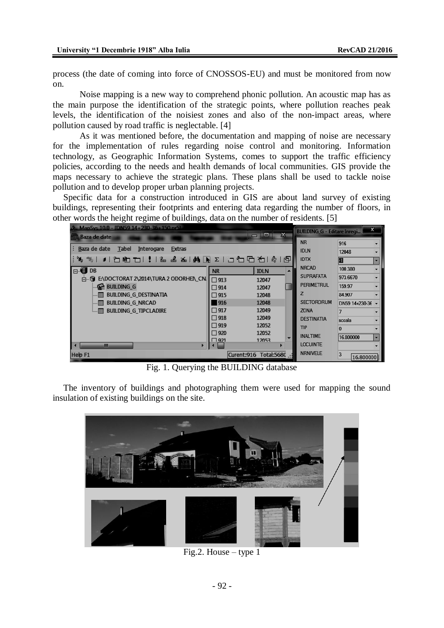process (the date of coming into force of CNOSSOS-EU) and must be monitored from now on.

Noise mapping is a new way to comprehend phonic pollution. An acoustic map has as the main purpose the identification of the strategic points, where pollution reaches peak levels, the identification of the noisiest zones and also of the non-impact areas, where pollution caused by road traffic is neglectable. [4]

As it was mentioned before, the documentation and mapping of noise are necessary for the implementation of rules regarding noise control and monitoring. Information technology, as Geographic Information Systems, comes to support the traffic efficiency policies, according to the needs and health demands of local communities. GIS provide the maps necessary to achieve the strategic plans. These plans shall be used to tackle noise pollution and to develop proper urban planning projects.

Specific data for a construction introduced in GIS are about land survey of existing buildings, representing their footprints and entering data regarding the number of floors, in other words the height regime of buildings, data on the number of residents. [5]

| 2. MapSys 10.0 - JDN59 14+230-36+150.pr51<br>$\mathbf{z}$ |               |                             |   | $\mathbf{x}$<br><b>BUILDING G - Editare Inregi</b> |                |                          |
|-----------------------------------------------------------|---------------|-----------------------------|---|----------------------------------------------------|----------------|--------------------------|
| 信 Baza de date                                            |               | o<br>$\blacksquare$         |   | <b>NR</b>                                          | 916            |                          |
| Baza de date<br>Tabel<br>Interogare<br><b>Extras</b>      |               |                             |   | <b>IDLN</b>                                        | 12048          |                          |
| %,%, 9 "Di@ITOI!!!& ፌ& AADREID"OID"OIQ!@ @P               |               |                             |   | <b>IDTX</b>                                        |                | ▼                        |
| <b>B</b> DB                                               | <b>NR</b>     | <b>IDLN</b>                 | ▴ | <b>NRCAD</b>                                       | 100.380        |                          |
| 白 图 E\DOCTORAT 2\2014\TURA 2 ODORHEN CN                   | $\Box$ 913    | 12047                       |   | <b>SUPRAFATA</b>                                   | 973.6670       |                          |
| <b> G BUILDING G</b>                                      | $\Box$ 914    | 12047                       |   | <b>PERIMETRUL</b>                                  | 159.97         |                          |
| BUILDING G DESTINATIA<br>$\blacksquare$ iii               | $\Box$ 915    | 12048                       |   |                                                    | 84.907         |                          |
| BUILDING G NRCAD<br>!… ⊞ I                                | 916           | 12048                       |   | <b>SECTORDRUM</b>                                  | DN59 14+230-36 |                          |
| <b>BUILDING G TIPCLADIRE</b><br>L.                        | $\square$ 917 | 12049                       |   | <b>ZONA</b>                                        |                |                          |
|                                                           | $\Box$ 918    | 12049                       |   | <b>DESTINATIA</b>                                  | scoala         |                          |
|                                                           | $\Box$ 919    | 12052                       |   | <b>TIP</b>                                         |                |                          |
|                                                           | $\Box$ 920    | 12052                       | ▼ | <b>INALTIME</b>                                    | 16.800000      | $\overline{\phantom{a}}$ |
| Ш<br>ь                                                    | $\Box$ 971    | 12053                       |   | <b>LOCUINTE</b>                                    |                |                          |
| Help F1                                                   |               | Total:5680 .:<br>Curent:916 |   | <b>NRNIVELE</b>                                    | 3              | 16.800000                |

Fig. 1. Querying the BUILDING database

The inventory of buildings and photographing them were used for mapping the sound insulation of existing buildings on the site.



Fig.2. House  $-$  type 1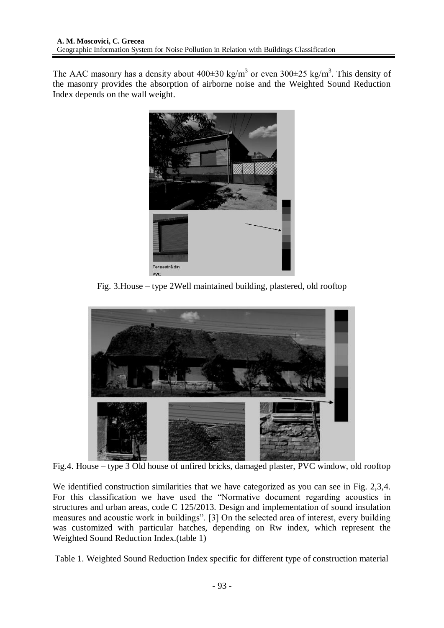The AAC masonry has a density about  $400\pm30$  kg/m<sup>3</sup> or even  $300\pm25$  kg/m<sup>3</sup>. This density of the masonry provides the absorption of airborne noise and the Weighted Sound Reduction Index depends on the wall weight.



Fig. 3.House – type 2Well maintained building, plastered, old rooftop



Fig.4. House – type 3 Old house of unfired bricks, damaged plaster, PVC window, old rooftop

We identified construction similarities that we have categorized as you can see in Fig. 2,3,4. For this classification we have used the "Normative document regarding acoustics in structures and urban areas, code C 125/2013. Design and implementation of sound insulation measures and acoustic work in buildings". [3] On the selected area of interest, every building was customized with particular hatches, depending on Rw index, which represent the Weighted Sound Reduction Index.(table 1)

Table 1. Weighted Sound Reduction Index specific for different type of construction material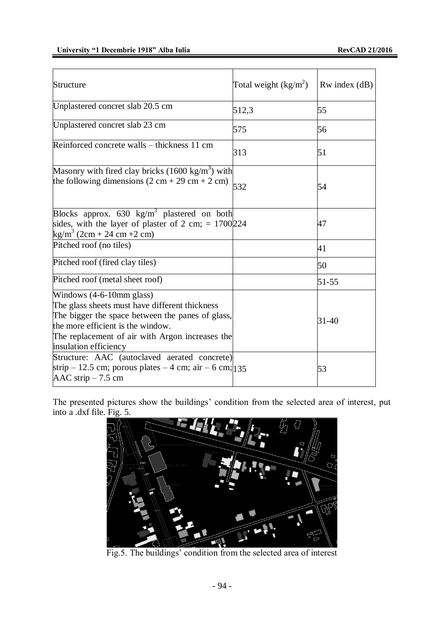| Structure                                                                                                                                                                                                                                          | Total weight $(kg/m^2)$ | $Rw$ index $(dB)$ |
|----------------------------------------------------------------------------------------------------------------------------------------------------------------------------------------------------------------------------------------------------|-------------------------|-------------------|
| Unplastered concret slab 20.5 cm                                                                                                                                                                                                                   | 512,3                   | 55                |
| Unplastered concret slab 23 cm                                                                                                                                                                                                                     | 575                     | 56                |
| Reinforced concrete walls – thickness 11 cm                                                                                                                                                                                                        | 313                     | 51                |
| Masonry with fired clay bricks $(1600 \text{ kg/m}^3)$ with<br>the following dimensions $(2 \text{ cm} + 29 \text{ cm} + 2 \text{ cm})$                                                                                                            | 532                     | 54                |
| Blocks approx. 630 kg/m <sup>3</sup> plastered on both<br>sides, with the layer of plaster of 2 cm; $= 1700/224$<br>kg/m <sup>3</sup> (2cm + $24$ cm + 2cm)                                                                                        |                         | 47                |
| Pitched roof (no tiles)                                                                                                                                                                                                                            |                         | 41                |
| Pitched roof (fired clay tiles)                                                                                                                                                                                                                    |                         | 50                |
| Pitched roof (metal sheet roof)                                                                                                                                                                                                                    |                         | $51 - 55$         |
| Windows $(4-6-10$ mm glass)<br>The glass sheets must have different thickness<br>The bigger the space between the panes of glass,<br>the more efficient is the window.<br>The replacement of air with Argon increases the<br>insulation efficiency |                         | 31-40             |
| Structure: AAC (autoclaved aerated concrete)<br>strip – 12.5 cm; porous plates – 4 cm; air – 6 cm; $\frac{135}{135}$<br>AAC strip $-7.5$ cm                                                                                                        |                         | 53                |

The presented pictures show the buildings' condition from the selected area of interest, put into a .dxf file. Fig. 5.



Fig.5. The buildings' condition from the selected area of interest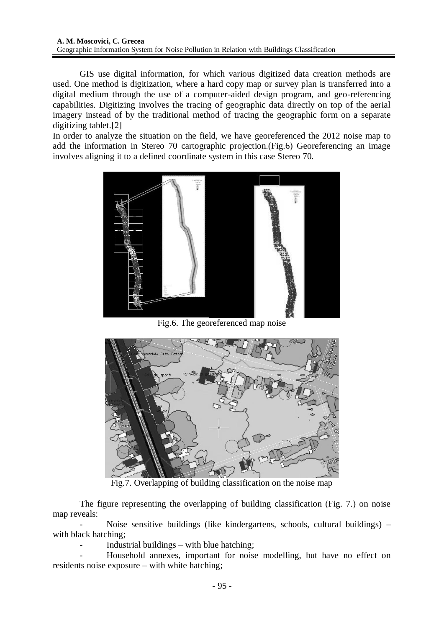GIS use digital information, for which various digitized data creation methods are used. One method is digitization, where a hard copy map or survey plan is transferred into a digital medium through the use of a computer-aided design program, and geo-referencing capabilities. Digitizing involves the tracing of geographic data directly on top of the aerial imagery instead of by the traditional method of tracing the geographic form on a separate digitizing tablet.[2]

In order to analyze the situation on the field, we have georeferenced the 2012 noise map to add the information in Stereo 70 cartographic projection.(Fig.6) Georeferencing an image involves aligning it to a defined coordinate system in this case Stereo 70.



Fig.6. The georeferenced map noise



Fig.7. Overlapping of building classification on the noise map

The figure representing the overlapping of building classification (Fig. 7.) on noise map reveals:

Noise sensitive buildings (like kindergartens, schools, cultural buildings) – with black hatching;

Industrial buildings  $-$  with blue hatching;

- Household annexes, important for noise modelling, but have no effect on residents noise exposure – with white hatching;